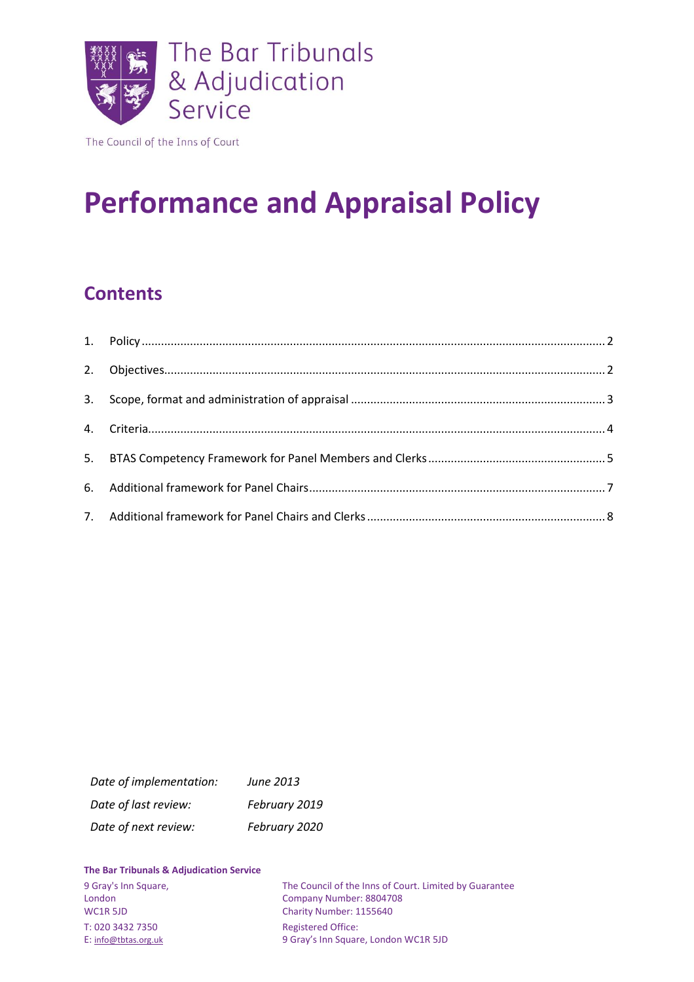

The Council of the Inns of Court

# **Performance and Appraisal Policy**

# **Contents**

| Date of implementation: | June 2013     |
|-------------------------|---------------|
| Date of last review:    | February 2019 |
| Date of next review:    | February 2020 |

#### **The Bar Tribunals & Adjudication Service**

| 9 Gray's Inn Square, | The Council of the Inns of Court. Limited by Guarantee |
|----------------------|--------------------------------------------------------|
| London               | Company Number: 8804708                                |
| WC1R 5JD             | Charity Number: 1155640                                |
| T: 020 3432 7350     | <b>Registered Office:</b>                              |
| E: info@tbtas.org.uk | 9 Gray's Inn Square, London WC1R 5JD                   |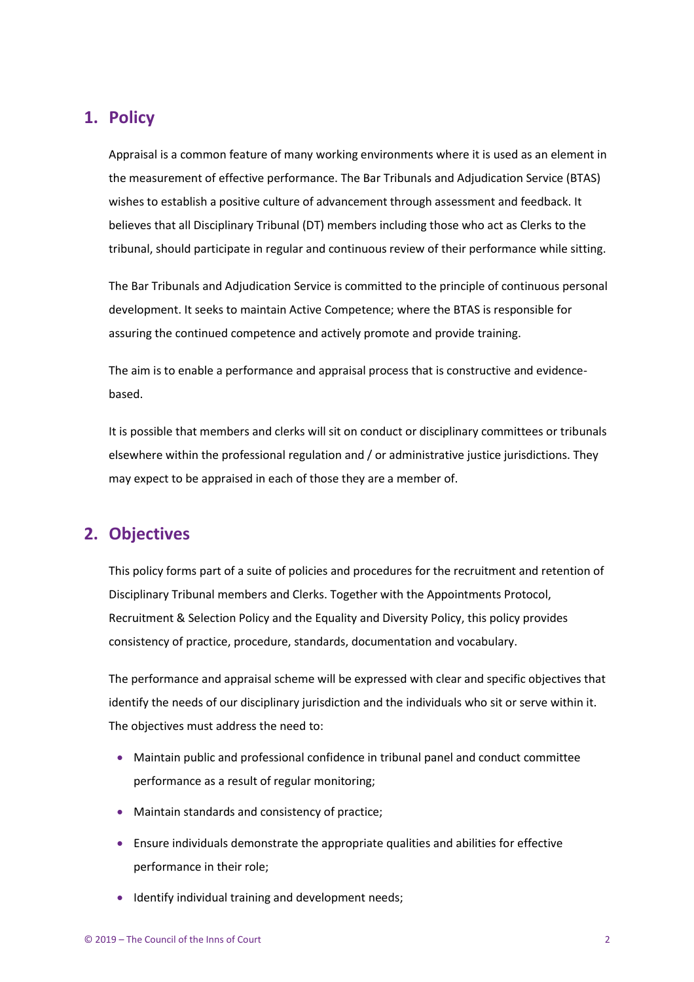#### <span id="page-1-0"></span>**1. Policy**

Appraisal is a common feature of many working environments where it is used as an element in the measurement of effective performance. The Bar Tribunals and Adjudication Service (BTAS) wishes to establish a positive culture of advancement through assessment and feedback. It believes that all Disciplinary Tribunal (DT) members including those who act as Clerks to the tribunal, should participate in regular and continuous review of their performance while sitting.

The Bar Tribunals and Adjudication Service is committed to the principle of continuous personal development. It seeks to maintain Active Competence; where the BTAS is responsible for assuring the continued competence and actively promote and provide training.

The aim is to enable a performance and appraisal process that is constructive and evidencebased.

It is possible that members and clerks will sit on conduct or disciplinary committees or tribunals elsewhere within the professional regulation and / or administrative justice jurisdictions. They may expect to be appraised in each of those they are a member of.

#### <span id="page-1-1"></span>**2. Objectives**

This policy forms part of a suite of policies and procedures for the recruitment and retention of Disciplinary Tribunal members and Clerks. Together with the Appointments Protocol, Recruitment & Selection Policy and the Equality and Diversity Policy, this policy provides consistency of practice, procedure, standards, documentation and vocabulary.

The performance and appraisal scheme will be expressed with clear and specific objectives that identify the needs of our disciplinary jurisdiction and the individuals who sit or serve within it. The objectives must address the need to:

- Maintain public and professional confidence in tribunal panel and conduct committee performance as a result of regular monitoring;
- Maintain standards and consistency of practice;
- Ensure individuals demonstrate the appropriate qualities and abilities for effective performance in their role;
- Identify individual training and development needs;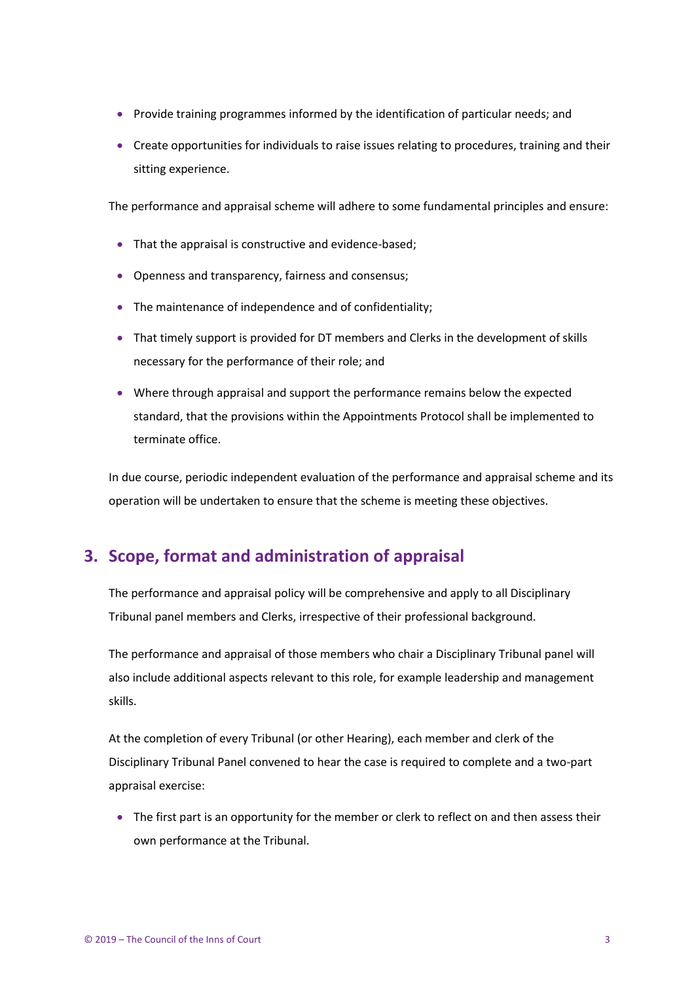- Provide training programmes informed by the identification of particular needs; and
- Create opportunities for individuals to raise issues relating to procedures, training and their sitting experience.

The performance and appraisal scheme will adhere to some fundamental principles and ensure:

- That the appraisal is constructive and evidence-based;
- Openness and transparency, fairness and consensus;
- The maintenance of independence and of confidentiality;
- That timely support is provided for DT members and Clerks in the development of skills necessary for the performance of their role; and
- Where through appraisal and support the performance remains below the expected standard, that the provisions within the Appointments Protocol shall be implemented to terminate office.

In due course, periodic independent evaluation of the performance and appraisal scheme and its operation will be undertaken to ensure that the scheme is meeting these objectives.

#### <span id="page-2-0"></span>**3. Scope, format and administration of appraisal**

The performance and appraisal policy will be comprehensive and apply to all Disciplinary Tribunal panel members and Clerks, irrespective of their professional background.

The performance and appraisal of those members who chair a Disciplinary Tribunal panel will also include additional aspects relevant to this role, for example leadership and management skills.

At the completion of every Tribunal (or other Hearing), each member and clerk of the Disciplinary Tribunal Panel convened to hear the case is required to complete and a two-part appraisal exercise:

• The first part is an opportunity for the member or clerk to reflect on and then assess their own performance at the Tribunal.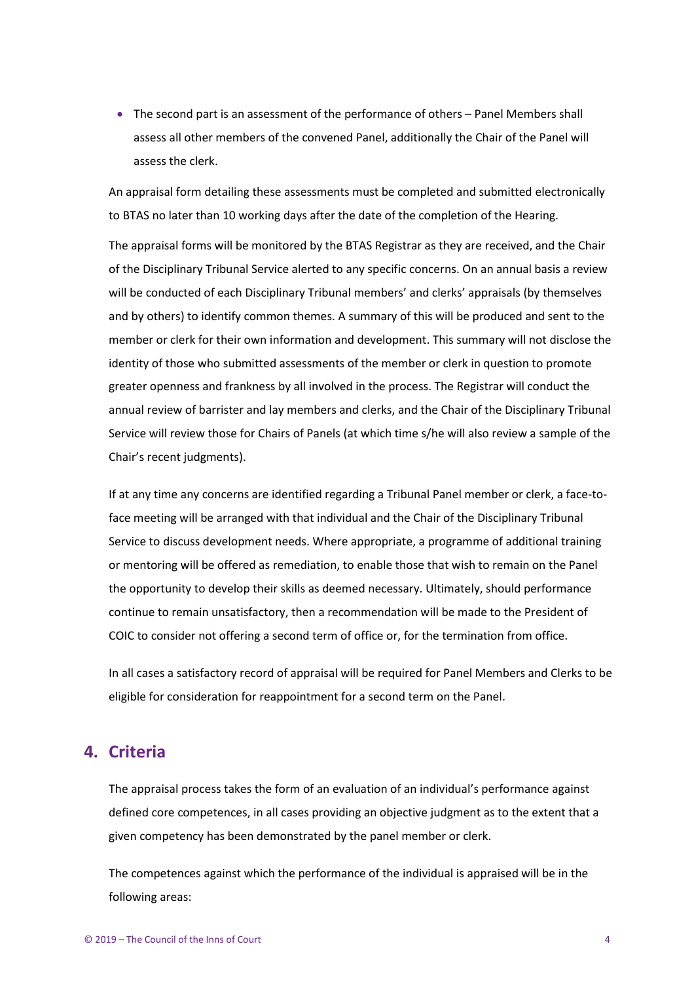• The second part is an assessment of the performance of others – Panel Members shall assess all other members of the convened Panel, additionally the Chair of the Panel will assess the clerk.

An appraisal form detailing these assessments must be completed and submitted electronically to BTAS no later than 10 working days after the date of the completion of the Hearing.

The appraisal forms will be monitored by the BTAS Registrar as they are received, and the Chair of the Disciplinary Tribunal Service alerted to any specific concerns. On an annual basis a review will be conducted of each Disciplinary Tribunal members' and clerks' appraisals (by themselves and by others) to identify common themes. A summary of this will be produced and sent to the member or clerk for their own information and development. This summary will not disclose the identity of those who submitted assessments of the member or clerk in question to promote greater openness and frankness by all involved in the process. The Registrar will conduct the annual review of barrister and lay members and clerks, and the Chair of the Disciplinary Tribunal Service will review those for Chairs of Panels (at which time s/he will also review a sample of the Chair's recent judgments).

If at any time any concerns are identified regarding a Tribunal Panel member or clerk, a face-toface meeting will be arranged with that individual and the Chair of the Disciplinary Tribunal Service to discuss development needs. Where appropriate, a programme of additional training or mentoring will be offered as remediation, to enable those that wish to remain on the Panel the opportunity to develop their skills as deemed necessary. Ultimately, should performance continue to remain unsatisfactory, then a recommendation will be made to the President of COIC to consider not offering a second term of office or, for the termination from office.

In all cases a satisfactory record of appraisal will be required for Panel Members and Clerks to be eligible for consideration for reappointment for a second term on the Panel.

#### <span id="page-3-0"></span>**4. Criteria**

The appraisal process takes the form of an evaluation of an individual's performance against defined core competences, in all cases providing an objective judgment as to the extent that a given competency has been demonstrated by the panel member or clerk.

The competences against which the performance of the individual is appraised will be in the following areas: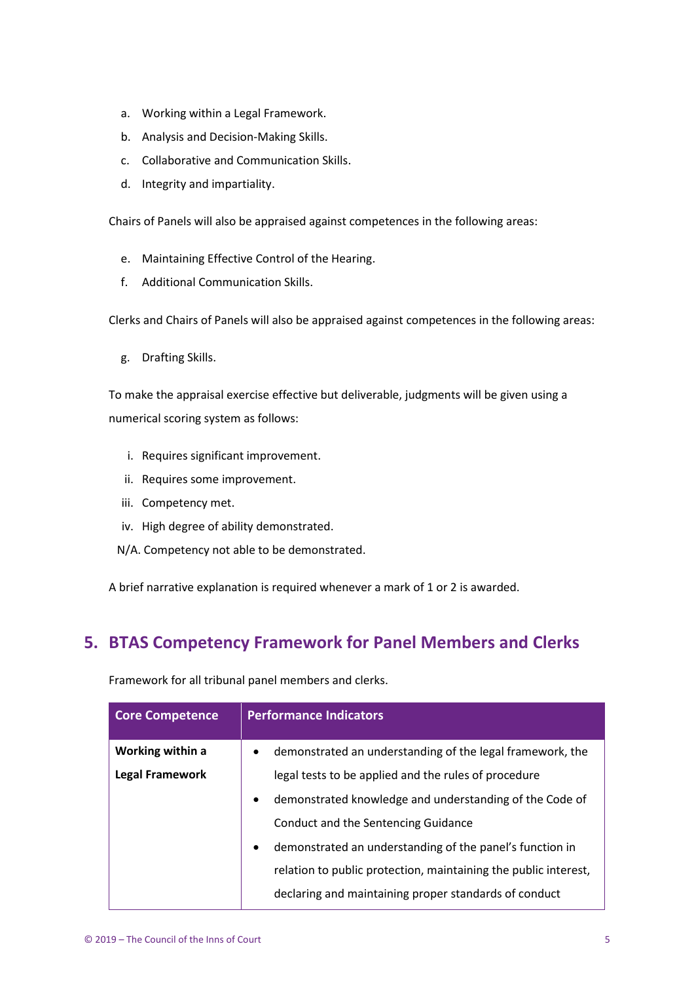- a. Working within a Legal Framework.
- b. Analysis and Decision-Making Skills.
- c. Collaborative and Communication Skills.
- d. Integrity and impartiality.

Chairs of Panels will also be appraised against competences in the following areas:

- e. Maintaining Effective Control of the Hearing.
- f. Additional Communication Skills.

Clerks and Chairs of Panels will also be appraised against competences in the following areas:

g. Drafting Skills.

To make the appraisal exercise effective but deliverable, judgments will be given using a numerical scoring system as follows:

- i. Requires significant improvement.
- ii. Requires some improvement.
- iii. Competency met.
- iv. High degree of ability demonstrated.
- N/A. Competency not able to be demonstrated.

A brief narrative explanation is required whenever a mark of 1 or 2 is awarded.

### <span id="page-4-0"></span>**5. BTAS Competency Framework for Panel Members and Clerks**

| <b>Core Competence</b> | <b>Performance Indicators</b>                                          |
|------------------------|------------------------------------------------------------------------|
| Working within a       | demonstrated an understanding of the legal framework, the<br>$\bullet$ |
| <b>Legal Framework</b> | legal tests to be applied and the rules of procedure                   |
|                        | demonstrated knowledge and understanding of the Code of<br>٠           |
|                        | Conduct and the Sentencing Guidance                                    |
|                        | demonstrated an understanding of the panel's function in<br>٠          |
|                        | relation to public protection, maintaining the public interest,        |
|                        | declaring and maintaining proper standards of conduct                  |

Framework for all tribunal panel members and clerks.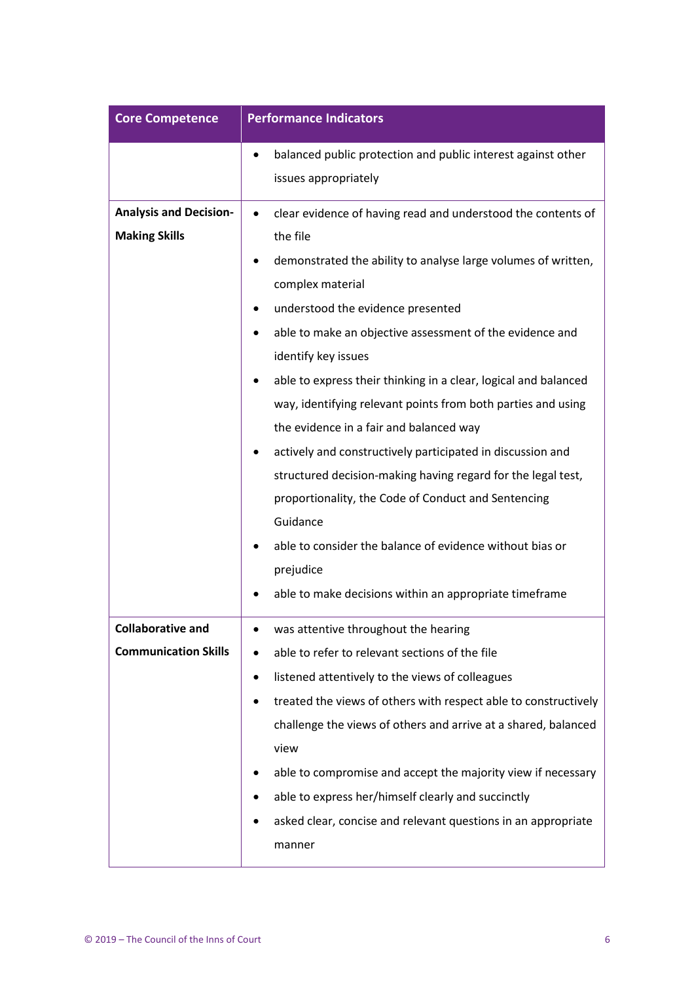| <b>Core Competence</b>                                | <b>Performance Indicators</b>                                                                                                                                                                                                                                                                                                                                                                                                                                                                                                                                                                                                                                                                                                                                                                                |
|-------------------------------------------------------|--------------------------------------------------------------------------------------------------------------------------------------------------------------------------------------------------------------------------------------------------------------------------------------------------------------------------------------------------------------------------------------------------------------------------------------------------------------------------------------------------------------------------------------------------------------------------------------------------------------------------------------------------------------------------------------------------------------------------------------------------------------------------------------------------------------|
|                                                       | balanced public protection and public interest against other<br>٠<br>issues appropriately                                                                                                                                                                                                                                                                                                                                                                                                                                                                                                                                                                                                                                                                                                                    |
| <b>Analysis and Decision-</b><br><b>Making Skills</b> | clear evidence of having read and understood the contents of<br>٠<br>the file<br>demonstrated the ability to analyse large volumes of written,<br>complex material<br>understood the evidence presented<br>able to make an objective assessment of the evidence and<br>identify key issues<br>able to express their thinking in a clear, logical and balanced<br>way, identifying relevant points from both parties and using<br>the evidence in a fair and balanced way<br>actively and constructively participated in discussion and<br>structured decision-making having regard for the legal test,<br>proportionality, the Code of Conduct and Sentencing<br>Guidance<br>able to consider the balance of evidence without bias or<br>prejudice<br>able to make decisions within an appropriate timeframe |
| Collaborative and<br><b>Communication Skills</b>      | was attentive throughout the hearing<br>able to refer to relevant sections of the file<br>listened attentively to the views of colleagues<br>treated the views of others with respect able to constructively<br>challenge the views of others and arrive at a shared, balanced<br>view<br>able to compromise and accept the majority view if necessary<br>able to express her/himself clearly and succinctly<br>asked clear, concise and relevant questions in an appropriate<br>manner                                                                                                                                                                                                                                                                                                                      |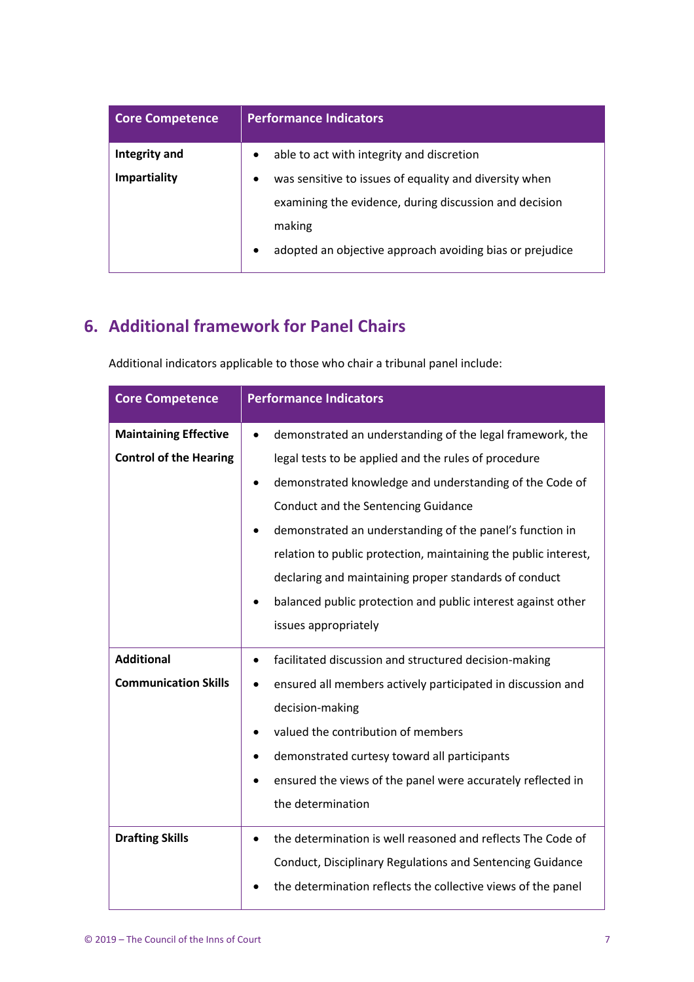| <b>Core Competence</b> | <b>Performance Indicators</b>                                       |
|------------------------|---------------------------------------------------------------------|
| Integrity and          | able to act with integrity and discretion<br>$\bullet$              |
| <b>Impartiality</b>    | was sensitive to issues of equality and diversity when<br>$\bullet$ |
|                        | examining the evidence, during discussion and decision              |
|                        | making                                                              |
|                        | adopted an objective approach avoiding bias or prejudice            |

## <span id="page-6-0"></span>**6. Additional framework for Panel Chairs**

| <b>Core Competence</b>        | <b>Performance Indicators</b>                                            |
|-------------------------------|--------------------------------------------------------------------------|
| <b>Maintaining Effective</b>  | demonstrated an understanding of the legal framework, the                |
| <b>Control of the Hearing</b> | legal tests to be applied and the rules of procedure                     |
|                               | demonstrated knowledge and understanding of the Code of<br>$\bullet$     |
|                               | Conduct and the Sentencing Guidance                                      |
|                               | demonstrated an understanding of the panel's function in                 |
|                               | relation to public protection, maintaining the public interest,          |
|                               | declaring and maintaining proper standards of conduct                    |
|                               | balanced public protection and public interest against other             |
|                               | issues appropriately                                                     |
| <b>Additional</b>             | facilitated discussion and structured decision-making<br>$\bullet$       |
| <b>Communication Skills</b>   | ensured all members actively participated in discussion and              |
|                               | decision-making                                                          |
|                               | valued the contribution of members                                       |
|                               | demonstrated curtesy toward all participants                             |
|                               | ensured the views of the panel were accurately reflected in              |
|                               | the determination                                                        |
| <b>Drafting Skills</b>        | the determination is well reasoned and reflects The Code of<br>$\bullet$ |
|                               | Conduct, Disciplinary Regulations and Sentencing Guidance                |
|                               | the determination reflects the collective views of the panel             |

Additional indicators applicable to those who chair a tribunal panel include: